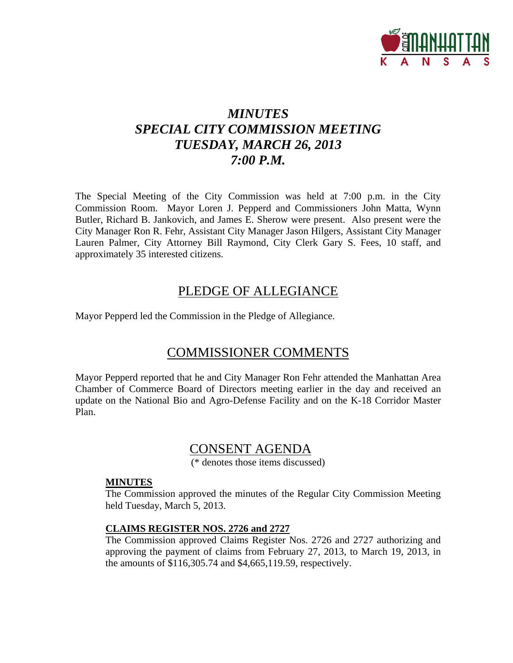

# *MINUTES SPECIAL CITY COMMISSION MEETING TUESDAY, MARCH 26, 2013 7:00 P.M.*

The Special Meeting of the City Commission was held at 7:00 p.m. in the City Commission Room. Mayor Loren J. Pepperd and Commissioners John Matta, Wynn Butler, Richard B. Jankovich, and James E. Sherow were present. Also present were the City Manager Ron R. Fehr, Assistant City Manager Jason Hilgers, Assistant City Manager Lauren Palmer, City Attorney Bill Raymond, City Clerk Gary S. Fees, 10 staff, and approximately 35 interested citizens.

# PLEDGE OF ALLEGIANCE

Mayor Pepperd led the Commission in the Pledge of Allegiance.

# COMMISSIONER COMMENTS

Mayor Pepperd reported that he and City Manager Ron Fehr attended the Manhattan Area Chamber of Commerce Board of Directors meeting earlier in the day and received an update on the National Bio and Agro-Defense Facility and on the K-18 Corridor Master Plan.

# CONSENT AGENDA

(\* denotes those items discussed)

#### **MINUTES**

The Commission approved the minutes of the Regular City Commission Meeting held Tuesday, March 5, 2013.

#### **CLAIMS REGISTER NOS. 2726 and 2727**

The Commission approved Claims Register Nos. 2726 and 2727 authorizing and approving the payment of claims from February 27, 2013, to March 19, 2013, in the amounts of \$116,305.74 and \$4,665,119.59, respectively.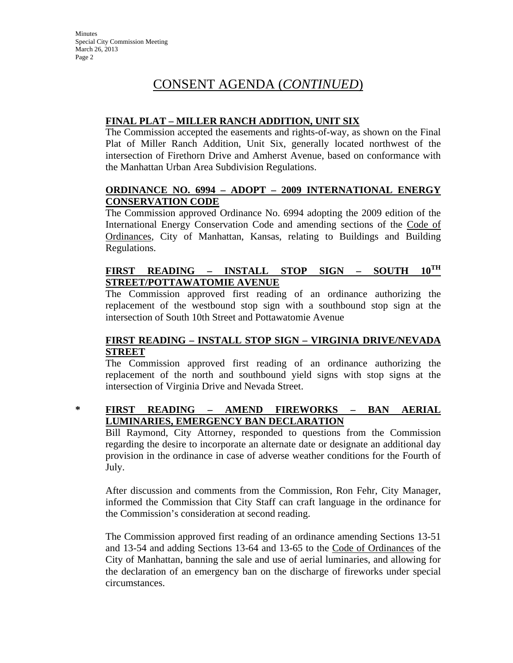# **FINAL PLAT – MILLER RANCH ADDITION, UNIT SIX**

The Commission accepted the easements and rights-of-way, as shown on the Final Plat of Miller Ranch Addition, Unit Six, generally located northwest of the intersection of Firethorn Drive and Amherst Avenue, based on conformance with the Manhattan Urban Area Subdivision Regulations.

## **ORDINANCE NO. 6994 – ADOPT – 2009 INTERNATIONAL ENERGY CONSERVATION CODE**

The Commission approved Ordinance No. 6994 adopting the 2009 edition of the International Energy Conservation Code and amending sections of the Code of Ordinances, City of Manhattan, Kansas, relating to Buildings and Building Regulations.

# **FIRST READING – INSTALL STOP SIGN – SOUTH 10TH STREET/POTTAWATOMIE AVENUE**

The Commission approved first reading of an ordinance authorizing the replacement of the westbound stop sign with a southbound stop sign at the intersection of South 10th Street and Pottawatomie Avenue

# **FIRST READING – INSTALL STOP SIGN – VIRGINIA DRIVE/NEVADA STREET**

The Commission approved first reading of an ordinance authorizing the replacement of the north and southbound yield signs with stop signs at the intersection of Virginia Drive and Nevada Street.

# **\* FIRST READING – AMEND FIREWORKS – BAN AERIAL LUMINARIES, EMERGENCY BAN DECLARATION**

Bill Raymond, City Attorney, responded to questions from the Commission regarding the desire to incorporate an alternate date or designate an additional day provision in the ordinance in case of adverse weather conditions for the Fourth of July.

After discussion and comments from the Commission, Ron Fehr, City Manager, informed the Commission that City Staff can craft language in the ordinance for the Commission's consideration at second reading.

The Commission approved first reading of an ordinance amending Sections 13-51 and 13-54 and adding Sections 13-64 and 13-65 to the Code of Ordinances of the City of Manhattan, banning the sale and use of aerial luminaries, and allowing for the declaration of an emergency ban on the discharge of fireworks under special circumstances.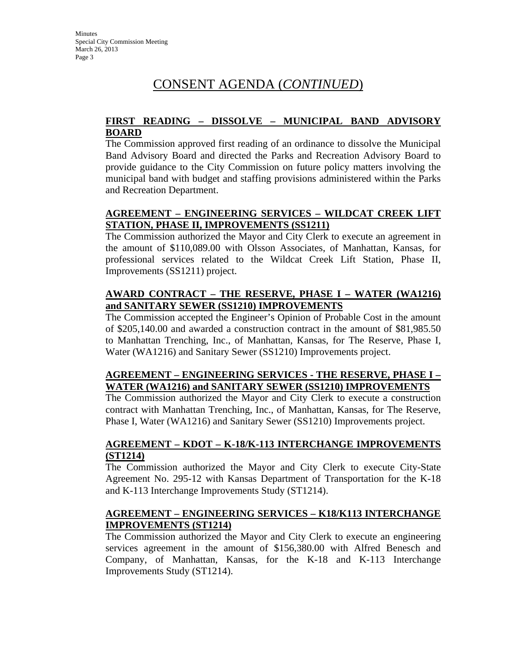### **FIRST READING – DISSOLVE – MUNICIPAL BAND ADVISORY BOARD**

The Commission approved first reading of an ordinance to dissolve the Municipal Band Advisory Board and directed the Parks and Recreation Advisory Board to provide guidance to the City Commission on future policy matters involving the municipal band with budget and staffing provisions administered within the Parks and Recreation Department.

# **AGREEMENT – ENGINEERING SERVICES – WILDCAT CREEK LIFT STATION, PHASE II, IMPROVEMENTS (SS1211)**

The Commission authorized the Mayor and City Clerk to execute an agreement in the amount of \$110,089.00 with Olsson Associates, of Manhattan, Kansas, for professional services related to the Wildcat Creek Lift Station, Phase II, Improvements (SS1211) project.

# **AWARD CONTRACT – THE RESERVE, PHASE I – WATER (WA1216) and SANITARY SEWER (SS1210) IMPROVEMENTS**

The Commission accepted the Engineer's Opinion of Probable Cost in the amount of \$205,140.00 and awarded a construction contract in the amount of \$81,985.50 to Manhattan Trenching, Inc., of Manhattan, Kansas, for The Reserve, Phase I, Water (WA1216) and Sanitary Sewer (SS1210) Improvements project.

# **AGREEMENT – ENGINEERING SERVICES - THE RESERVE, PHASE I – WATER (WA1216) and SANITARY SEWER (SS1210) IMPROVEMENTS**

The Commission authorized the Mayor and City Clerk to execute a construction contract with Manhattan Trenching, Inc., of Manhattan, Kansas, for The Reserve, Phase I, Water (WA1216) and Sanitary Sewer (SS1210) Improvements project.

# **AGREEMENT – KDOT – K-18/K-113 INTERCHANGE IMPROVEMENTS (ST1214)**

The Commission authorized the Mayor and City Clerk to execute City-State Agreement No. 295-12 with Kansas Department of Transportation for the K-18 and K-113 Interchange Improvements Study (ST1214).

## **AGREEMENT – ENGINEERING SERVICES – K18/K113 INTERCHANGE IMPROVEMENTS (ST1214)**

The Commission authorized the Mayor and City Clerk to execute an engineering services agreement in the amount of \$156,380.00 with Alfred Benesch and Company, of Manhattan, Kansas, for the K-18 and K-113 Interchange Improvements Study (ST1214).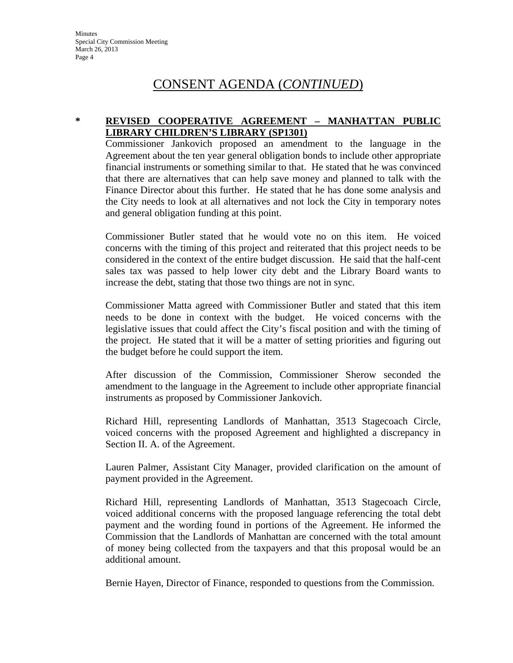#### **\* REVISED COOPERATIVE AGREEMENT – MANHATTAN PUBLIC LIBRARY CHILDREN'S LIBRARY (SP1301)**

Commissioner Jankovich proposed an amendment to the language in the Agreement about the ten year general obligation bonds to include other appropriate financial instruments or something similar to that. He stated that he was convinced that there are alternatives that can help save money and planned to talk with the Finance Director about this further. He stated that he has done some analysis and the City needs to look at all alternatives and not lock the City in temporary notes and general obligation funding at this point.

Commissioner Butler stated that he would vote no on this item. He voiced concerns with the timing of this project and reiterated that this project needs to be considered in the context of the entire budget discussion. He said that the half-cent sales tax was passed to help lower city debt and the Library Board wants to increase the debt, stating that those two things are not in sync.

Commissioner Matta agreed with Commissioner Butler and stated that this item needs to be done in context with the budget. He voiced concerns with the legislative issues that could affect the City's fiscal position and with the timing of the project. He stated that it will be a matter of setting priorities and figuring out the budget before he could support the item.

After discussion of the Commission, Commissioner Sherow seconded the amendment to the language in the Agreement to include other appropriate financial instruments as proposed by Commissioner Jankovich.

Richard Hill, representing Landlords of Manhattan, 3513 Stagecoach Circle, voiced concerns with the proposed Agreement and highlighted a discrepancy in Section II. A. of the Agreement.

Lauren Palmer, Assistant City Manager, provided clarification on the amount of payment provided in the Agreement.

Richard Hill, representing Landlords of Manhattan, 3513 Stagecoach Circle, voiced additional concerns with the proposed language referencing the total debt payment and the wording found in portions of the Agreement. He informed the Commission that the Landlords of Manhattan are concerned with the total amount of money being collected from the taxpayers and that this proposal would be an additional amount.

Bernie Hayen, Director of Finance, responded to questions from the Commission.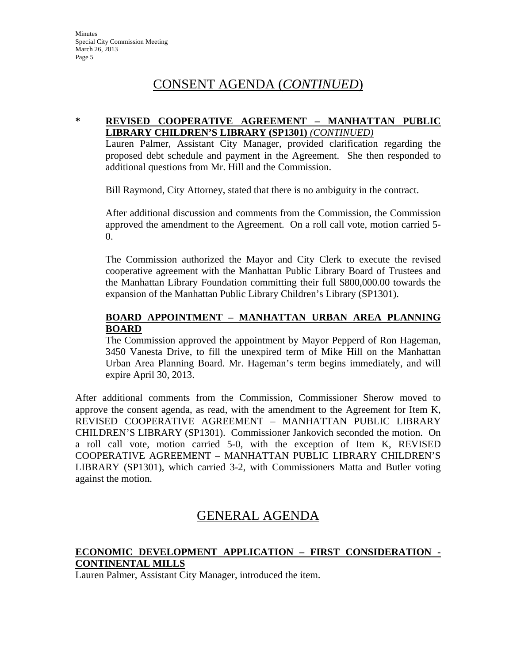#### **\* REVISED COOPERATIVE AGREEMENT – MANHATTAN PUBLIC LIBRARY CHILDREN'S LIBRARY (SP1301)** *(CONTINUED)*

Lauren Palmer, Assistant City Manager, provided clarification regarding the proposed debt schedule and payment in the Agreement. She then responded to additional questions from Mr. Hill and the Commission.

Bill Raymond, City Attorney, stated that there is no ambiguity in the contract.

After additional discussion and comments from the Commission, the Commission approved the amendment to the Agreement. On a roll call vote, motion carried 5- 0.

The Commission authorized the Mayor and City Clerk to execute the revised cooperative agreement with the Manhattan Public Library Board of Trustees and the Manhattan Library Foundation committing their full \$800,000.00 towards the expansion of the Manhattan Public Library Children's Library (SP1301).

# **BOARD APPOINTMENT – MANHATTAN URBAN AREA PLANNING BOARD**

The Commission approved the appointment by Mayor Pepperd of Ron Hageman, 3450 Vanesta Drive, to fill the unexpired term of Mike Hill on the Manhattan Urban Area Planning Board. Mr. Hageman's term begins immediately, and will expire April 30, 2013.

After additional comments from the Commission, Commissioner Sherow moved to approve the consent agenda, as read, with the amendment to the Agreement for Item K, REVISED COOPERATIVE AGREEMENT – MANHATTAN PUBLIC LIBRARY CHILDREN'S LIBRARY (SP1301). Commissioner Jankovich seconded the motion. On a roll call vote, motion carried 5-0, with the exception of Item K, REVISED COOPERATIVE AGREEMENT – MANHATTAN PUBLIC LIBRARY CHILDREN'S LIBRARY (SP1301), which carried 3-2, with Commissioners Matta and Butler voting against the motion.

# GENERAL AGENDA

## **ECONOMIC DEVELOPMENT APPLICATION – FIRST CONSIDERATION - CONTINENTAL MILLS**

Lauren Palmer, Assistant City Manager, introduced the item.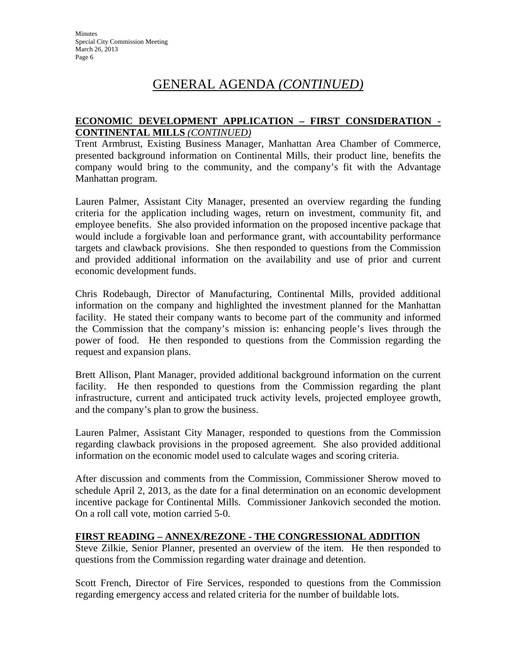### **ECONOMIC DEVELOPMENT APPLICATION – FIRST CONSIDERATION - CONTINENTAL MILLS** *(CONTINUED)*

Trent Armbrust, Existing Business Manager, Manhattan Area Chamber of Commerce, presented background information on Continental Mills, their product line, benefits the company would bring to the community, and the company's fit with the Advantage Manhattan program.

Lauren Palmer, Assistant City Manager, presented an overview regarding the funding criteria for the application including wages, return on investment, community fit, and employee benefits. She also provided information on the proposed incentive package that would include a forgivable loan and performance grant, with accountability performance targets and clawback provisions. She then responded to questions from the Commission and provided additional information on the availability and use of prior and current economic development funds.

Chris Rodebaugh, Director of Manufacturing, Continental Mills, provided additional information on the company and highlighted the investment planned for the Manhattan facility. He stated their company wants to become part of the community and informed the Commission that the company's mission is: enhancing people's lives through the power of food. He then responded to questions from the Commission regarding the request and expansion plans.

Brett Allison, Plant Manager, provided additional background information on the current facility. He then responded to questions from the Commission regarding the plant infrastructure, current and anticipated truck activity levels, projected employee growth, and the company's plan to grow the business.

Lauren Palmer, Assistant City Manager, responded to questions from the Commission regarding clawback provisions in the proposed agreement. She also provided additional information on the economic model used to calculate wages and scoring criteria.

After discussion and comments from the Commission, Commissioner Sherow moved to schedule April 2, 2013, as the date for a final determination on an economic development incentive package for Continental Mills. Commissioner Jankovich seconded the motion. On a roll call vote, motion carried 5-0.

## **FIRST READING – ANNEX/REZONE - THE CONGRESSIONAL ADDITION**

Steve Zilkie, Senior Planner, presented an overview of the item. He then responded to questions from the Commission regarding water drainage and detention.

Scott French, Director of Fire Services, responded to questions from the Commission regarding emergency access and related criteria for the number of buildable lots.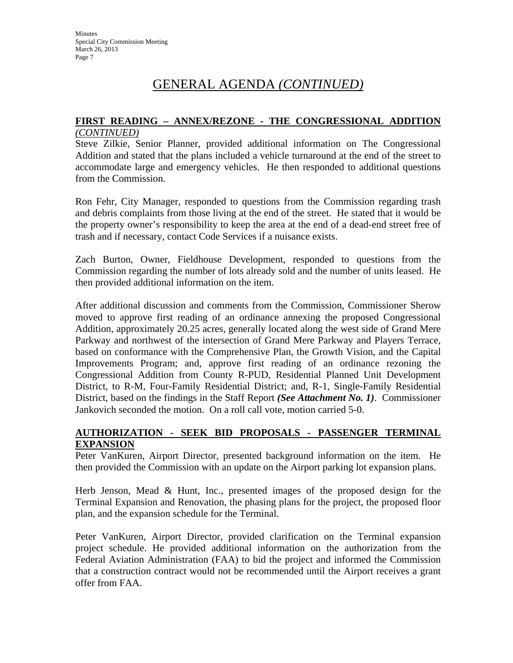#### **FIRST READING – ANNEX/REZONE - THE CONGRESSIONAL ADDITION** *(CONTINUED)*

Steve Zilkie, Senior Planner, provided additional information on The Congressional Addition and stated that the plans included a vehicle turnaround at the end of the street to accommodate large and emergency vehicles. He then responded to additional questions from the Commission.

Ron Fehr, City Manager, responded to questions from the Commission regarding trash and debris complaints from those living at the end of the street. He stated that it would be the property owner's responsibility to keep the area at the end of a dead-end street free of trash and if necessary, contact Code Services if a nuisance exists.

Zach Burton, Owner, Fieldhouse Development, responded to questions from the Commission regarding the number of lots already sold and the number of units leased. He then provided additional information on the item.

After additional discussion and comments from the Commission, Commissioner Sherow moved to approve first reading of an ordinance annexing the proposed Congressional Addition, approximately 20.25 acres, generally located along the west side of Grand Mere Parkway and northwest of the intersection of Grand Mere Parkway and Players Terrace, based on conformance with the Comprehensive Plan, the Growth Vision, and the Capital Improvements Program; and, approve first reading of an ordinance rezoning the Congressional Addition from County R-PUD, Residential Planned Unit Development District, to R-M, Four-Family Residential District; and, R-1, Single-Family Residential District, based on the findings in the Staff Report *(See Attachment No. 1)*. Commissioner Jankovich seconded the motion. On a roll call vote, motion carried 5-0.

#### **AUTHORIZATION - SEEK BID PROPOSALS - PASSENGER TERMINAL EXPANSION**

Peter VanKuren, Airport Director, presented background information on the item. He then provided the Commission with an update on the Airport parking lot expansion plans.

Herb Jenson, Mead & Hunt, Inc., presented images of the proposed design for the Terminal Expansion and Renovation, the phasing plans for the project, the proposed floor plan, and the expansion schedule for the Terminal.

Peter VanKuren, Airport Director, provided clarification on the Terminal expansion project schedule. He provided additional information on the authorization from the Federal Aviation Administration (FAA) to bid the project and informed the Commission that a construction contract would not be recommended until the Airport receives a grant offer from FAA.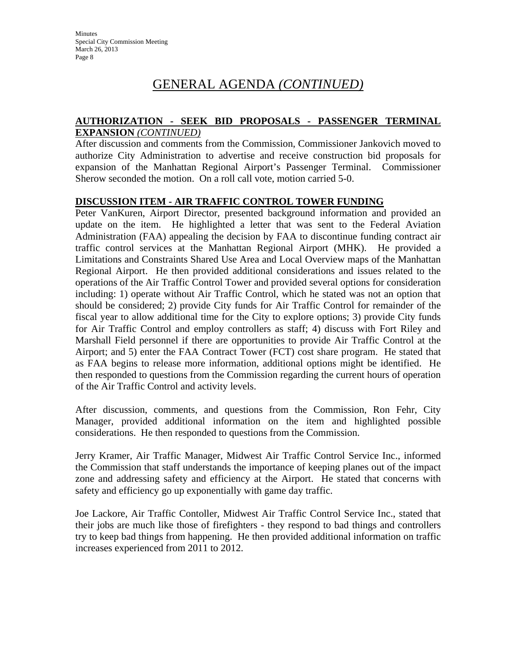#### **AUTHORIZATION - SEEK BID PROPOSALS - PASSENGER TERMINAL EXPANSION** *(CONTINUED)*

After discussion and comments from the Commission, Commissioner Jankovich moved to authorize City Administration to advertise and receive construction bid proposals for expansion of the Manhattan Regional Airport's Passenger Terminal. Commissioner Sherow seconded the motion. On a roll call vote, motion carried 5-0.

#### **DISCUSSION ITEM - AIR TRAFFIC CONTROL TOWER FUNDING**

Peter VanKuren, Airport Director, presented background information and provided an update on the item. He highlighted a letter that was sent to the Federal Aviation Administration (FAA) appealing the decision by FAA to discontinue funding contract air traffic control services at the Manhattan Regional Airport (MHK). He provided a Limitations and Constraints Shared Use Area and Local Overview maps of the Manhattan Regional Airport. He then provided additional considerations and issues related to the operations of the Air Traffic Control Tower and provided several options for consideration including: 1) operate without Air Traffic Control, which he stated was not an option that should be considered; 2) provide City funds for Air Traffic Control for remainder of the fiscal year to allow additional time for the City to explore options; 3) provide City funds for Air Traffic Control and employ controllers as staff; 4) discuss with Fort Riley and Marshall Field personnel if there are opportunities to provide Air Traffic Control at the Airport; and 5) enter the FAA Contract Tower (FCT) cost share program. He stated that as FAA begins to release more information, additional options might be identified. He then responded to questions from the Commission regarding the current hours of operation of the Air Traffic Control and activity levels.

After discussion, comments, and questions from the Commission, Ron Fehr, City Manager, provided additional information on the item and highlighted possible considerations. He then responded to questions from the Commission.

Jerry Kramer, Air Traffic Manager, Midwest Air Traffic Control Service Inc., informed the Commission that staff understands the importance of keeping planes out of the impact zone and addressing safety and efficiency at the Airport. He stated that concerns with safety and efficiency go up exponentially with game day traffic.

Joe Lackore, Air Traffic Contoller, Midwest Air Traffic Control Service Inc., stated that their jobs are much like those of firefighters - they respond to bad things and controllers try to keep bad things from happening. He then provided additional information on traffic increases experienced from 2011 to 2012.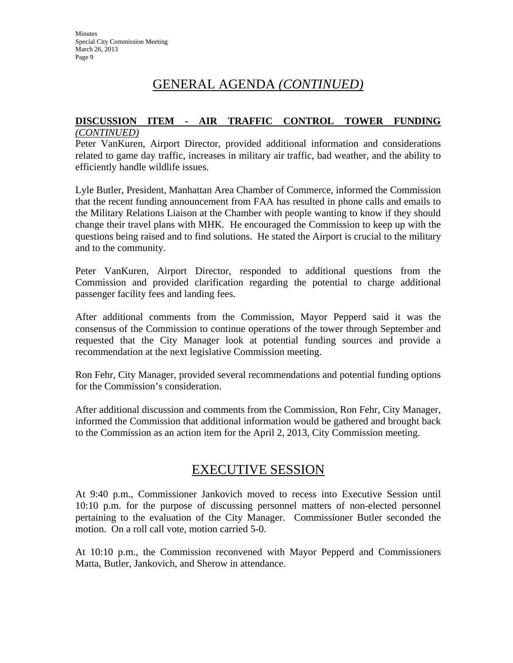#### **DISCUSSION ITEM - AIR TRAFFIC CONTROL TOWER FUNDING** *(CONTINUED)*

Peter VanKuren, Airport Director, provided additional information and considerations related to game day traffic, increases in military air traffic, bad weather, and the ability to efficiently handle wildlife issues.

Lyle Butler, President, Manhattan Area Chamber of Commerce, informed the Commission that the recent funding announcement from FAA has resulted in phone calls and emails to the Military Relations Liaison at the Chamber with people wanting to know if they should change their travel plans with MHK. He encouraged the Commission to keep up with the questions being raised and to find solutions. He stated the Airport is crucial to the military and to the community.

Peter VanKuren, Airport Director, responded to additional questions from the Commission and provided clarification regarding the potential to charge additional passenger facility fees and landing fees.

After additional comments from the Commission, Mayor Pepperd said it was the consensus of the Commission to continue operations of the tower through September and requested that the City Manager look at potential funding sources and provide a recommendation at the next legislative Commission meeting.

Ron Fehr, City Manager, provided several recommendations and potential funding options for the Commission's consideration.

After additional discussion and comments from the Commission, Ron Fehr, City Manager, informed the Commission that additional information would be gathered and brought back to the Commission as an action item for the April 2, 2013, City Commission meeting.

# EXECUTIVE SESSION

At 9:40 p.m., Commissioner Jankovich moved to recess into Executive Session until 10:10 p.m. for the purpose of discussing personnel matters of non-elected personnel pertaining to the evaluation of the City Manager. Commissioner Butler seconded the motion. On a roll call vote, motion carried 5-0.

At 10:10 p.m., the Commission reconvened with Mayor Pepperd and Commissioners Matta, Butler, Jankovich, and Sherow in attendance.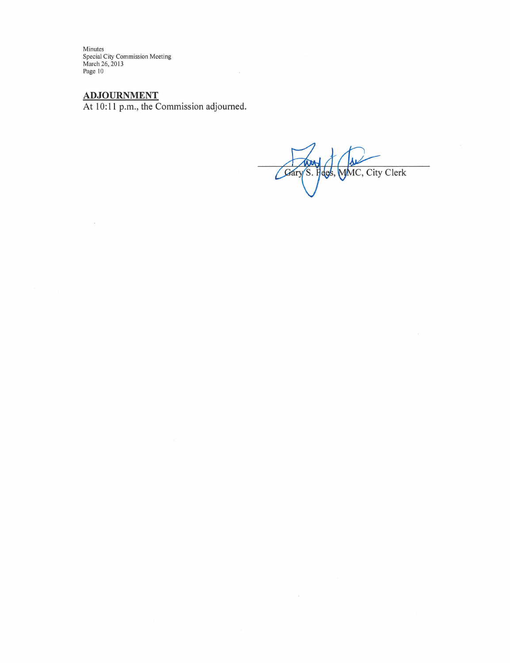Minutes Special City Commission Meeting<br>March 26, 2013<br>Page 10

# **ADJOURNMENT**

 $\overline{\mathcal{E}}$ 

At 10:11 p.m., the Commission adjourned.

Gary S. Hees, MMC, City Clerk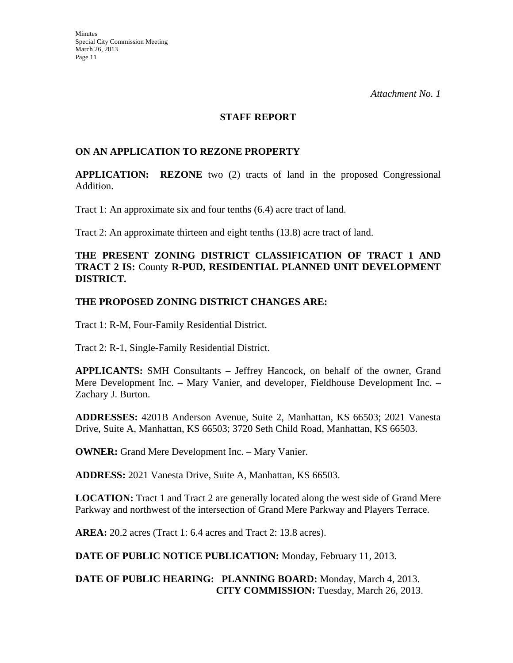#### **STAFF REPORT**

### **ON AN APPLICATION TO REZONE PROPERTY**

**APPLICATION: REZONE** two (2) tracts of land in the proposed Congressional Addition.

Tract 1: An approximate six and four tenths (6.4) acre tract of land.

Tract 2: An approximate thirteen and eight tenths (13.8) acre tract of land.

### **THE PRESENT ZONING DISTRICT CLASSIFICATION OF TRACT 1 AND TRACT 2 IS:** County **R-PUD, RESIDENTIAL PLANNED UNIT DEVELOPMENT DISTRICT.**

#### **THE PROPOSED ZONING DISTRICT CHANGES ARE:**

Tract 1: R-M, Four-Family Residential District.

Tract 2: R-1, Single-Family Residential District.

**APPLICANTS:** SMH Consultants – Jeffrey Hancock, on behalf of the owner, Grand Mere Development Inc. – Mary Vanier, and developer, Fieldhouse Development Inc. – Zachary J. Burton.

**ADDRESSES:** 4201B Anderson Avenue, Suite 2, Manhattan, KS 66503; 2021 Vanesta Drive, Suite A, Manhattan, KS 66503; 3720 Seth Child Road, Manhattan, KS 66503.

**OWNER:** Grand Mere Development Inc. – Mary Vanier.

**ADDRESS:** 2021 Vanesta Drive, Suite A, Manhattan, KS 66503.

**LOCATION:** Tract 1 and Tract 2 are generally located along the west side of Grand Mere Parkway and northwest of the intersection of Grand Mere Parkway and Players Terrace.

**AREA:** 20.2 acres (Tract 1: 6.4 acres and Tract 2: 13.8 acres).

**DATE OF PUBLIC NOTICE PUBLICATION:** Monday, February 11, 2013.

**DATE OF PUBLIC HEARING: PLANNING BOARD:** Monday, March 4, 2013. **CITY COMMISSION:** Tuesday, March 26, 2013.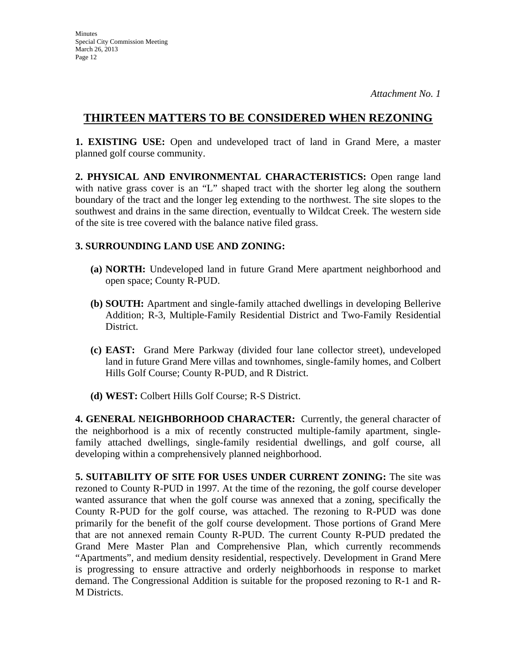# **THIRTEEN MATTERS TO BE CONSIDERED WHEN REZONING**

**1. EXISTING USE:** Open and undeveloped tract of land in Grand Mere, a master planned golf course community.

**2. PHYSICAL AND ENVIRONMENTAL CHARACTERISTICS:** Open range land with native grass cover is an "L" shaped tract with the shorter leg along the southern boundary of the tract and the longer leg extending to the northwest. The site slopes to the southwest and drains in the same direction, eventually to Wildcat Creek. The western side of the site is tree covered with the balance native filed grass.

# **3. SURROUNDING LAND USE AND ZONING:**

- **(a) NORTH:** Undeveloped land in future Grand Mere apartment neighborhood and open space; County R-PUD.
- **(b) SOUTH:** Apartment and single-family attached dwellings in developing Bellerive Addition; R-3, Multiple-Family Residential District and Two-Family Residential District.
- **(c) EAST:** Grand Mere Parkway (divided four lane collector street), undeveloped land in future Grand Mere villas and townhomes, single-family homes, and Colbert Hills Golf Course; County R-PUD, and R District.
- **(d) WEST:** Colbert Hills Golf Course; R-S District.

**4. GENERAL NEIGHBORHOOD CHARACTER:** Currently, the general character of the neighborhood is a mix of recently constructed multiple-family apartment, singlefamily attached dwellings, single-family residential dwellings, and golf course, all developing within a comprehensively planned neighborhood.

**5. SUITABILITY OF SITE FOR USES UNDER CURRENT ZONING:** The site was rezoned to County R-PUD in 1997. At the time of the rezoning, the golf course developer wanted assurance that when the golf course was annexed that a zoning, specifically the County R-PUD for the golf course, was attached. The rezoning to R-PUD was done primarily for the benefit of the golf course development. Those portions of Grand Mere that are not annexed remain County R-PUD. The current County R-PUD predated the Grand Mere Master Plan and Comprehensive Plan, which currently recommends "Apartments", and medium density residential, respectively. Development in Grand Mere is progressing to ensure attractive and orderly neighborhoods in response to market demand. The Congressional Addition is suitable for the proposed rezoning to R-1 and R-M Districts.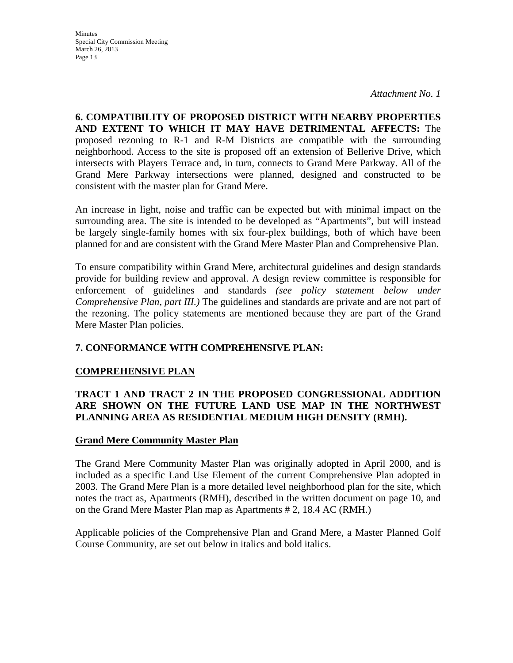**Minutes** Special City Commission Meeting March 26, 2013 Page 13

*Attachment No. 1*

**6. COMPATIBILITY OF PROPOSED DISTRICT WITH NEARBY PROPERTIES AND EXTENT TO WHICH IT MAY HAVE DETRIMENTAL AFFECTS:** The proposed rezoning to R-1 and R-M Districts are compatible with the surrounding neighborhood. Access to the site is proposed off an extension of Bellerive Drive, which intersects with Players Terrace and, in turn, connects to Grand Mere Parkway. All of the Grand Mere Parkway intersections were planned, designed and constructed to be consistent with the master plan for Grand Mere.

An increase in light, noise and traffic can be expected but with minimal impact on the surrounding area. The site is intended to be developed as "Apartments", but will instead be largely single-family homes with six four-plex buildings, both of which have been planned for and are consistent with the Grand Mere Master Plan and Comprehensive Plan.

To ensure compatibility within Grand Mere, architectural guidelines and design standards provide for building review and approval. A design review committee is responsible for enforcement of guidelines and standards *(see policy statement below under Comprehensive Plan, part III.)* The guidelines and standards are private and are not part of the rezoning. The policy statements are mentioned because they are part of the Grand Mere Master Plan policies.

## **7. CONFORMANCE WITH COMPREHENSIVE PLAN:**

## **COMPREHENSIVE PLAN**

# **TRACT 1 AND TRACT 2 IN THE PROPOSED CONGRESSIONAL ADDITION ARE SHOWN ON THE FUTURE LAND USE MAP IN THE NORTHWEST PLANNING AREA AS RESIDENTIAL MEDIUM HIGH DENSITY (RMH).**

## **Grand Mere Community Master Plan**

The Grand Mere Community Master Plan was originally adopted in April 2000, and is included as a specific Land Use Element of the current Comprehensive Plan adopted in 2003. The Grand Mere Plan is a more detailed level neighborhood plan for the site, which notes the tract as, Apartments (RMH), described in the written document on page 10, and on the Grand Mere Master Plan map as Apartments # 2, 18.4 AC (RMH.)

Applicable policies of the Comprehensive Plan and Grand Mere, a Master Planned Golf Course Community, are set out below in italics and bold italics.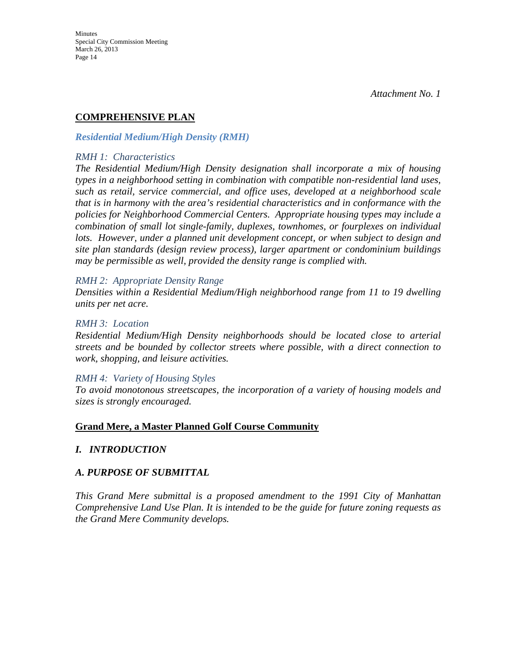# **COMPREHENSIVE PLAN**

#### *Residential Medium/High Density (RMH)*

#### *RMH 1: Characteristics*

*The Residential Medium/High Density designation shall incorporate a mix of housing types in a neighborhood setting in combination with compatible non-residential land uses, such as retail, service commercial, and office uses, developed at a neighborhood scale that is in harmony with the area's residential characteristics and in conformance with the policies for Neighborhood Commercial Centers. Appropriate housing types may include a combination of small lot single-family, duplexes, townhomes, or fourplexes on individual lots. However, under a planned unit development concept, or when subject to design and site plan standards (design review process), larger apartment or condominium buildings may be permissible as well, provided the density range is complied with.* 

#### *RMH 2: Appropriate Density Range*

*Densities within a Residential Medium/High neighborhood range from 11 to 19 dwelling units per net acre.* 

#### *RMH 3: Location*

*Residential Medium/High Density neighborhoods should be located close to arterial streets and be bounded by collector streets where possible, with a direct connection to work, shopping, and leisure activities.* 

#### *RMH 4: Variety of Housing Styles*

*To avoid monotonous streetscapes, the incorporation of a variety of housing models and sizes is strongly encouraged.* 

#### **Grand Mere, a Master Planned Golf Course Community**

## *I. INTRODUCTION*

## *A. PURPOSE OF SUBMITTAL*

*This Grand Mere submittal is a proposed amendment to the 1991 City of Manhattan Comprehensive Land Use Plan. It is intended to be the guide for future zoning requests as the Grand Mere Community develops.*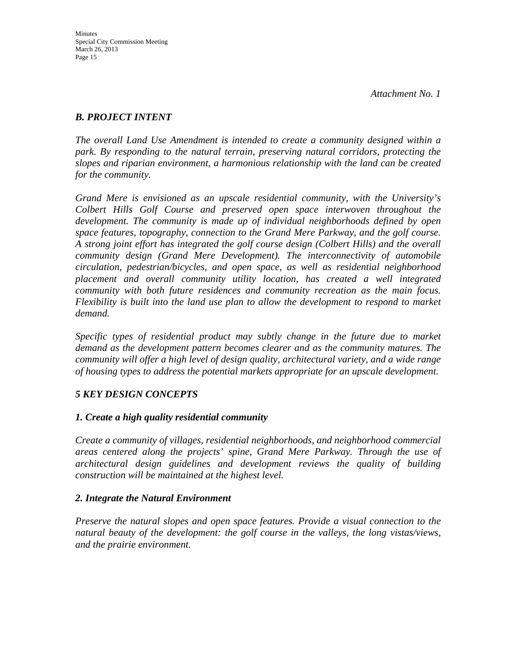# *B. PROJECT INTENT*

*The overall Land Use Amendment is intended to create a community designed within a park. By responding to the natural terrain, preserving natural corridors, protecting the slopes and riparian environment, a harmonious relationship with the land can be created for the community.* 

*Grand Mere is envisioned as an upscale residential community, with the University's Colbert Hills Golf Course and preserved open space interwoven throughout the development. The community is made up of individual neighborhoods defined by open space features, topography, connection to the Grand Mere Parkway, and the golf course. A strong joint effort has integrated the golf course design (Colbert Hills) and the overall community design (Grand Mere Development). The interconnectivity of automobile circulation, pedestrian/bicycles, and open space, as well as residential neighborhood placement and overall community utility location, has created a well integrated community with both future residences and community recreation as the main focus. Flexibility is built into the land use plan to allow the development to respond to market demand.* 

Specific types of residential product may subtly change in the future due to market *demand as the development pattern becomes clearer and as the community matures. The community will offer a high level of design quality, architectural variety, and a wide range of housing types to address the potential markets appropriate for an upscale development.* 

## *5 KEY DESIGN CONCEPTS*

## *1. Create a high quality residential community*

*Create a community of villages, residential neighborhoods, and neighborhood commercial areas centered along the projects' spine, Grand Mere Parkway. Through the use of architectural design guidelines and development reviews the quality of building construction will be maintained at the highest level.* 

## *2. Integrate the Natural Environment*

*Preserve the natural slopes and open space features. Provide a visual connection to the natural beauty of the development: the golf course in the valleys, the long vistas/views, and the prairie environment.*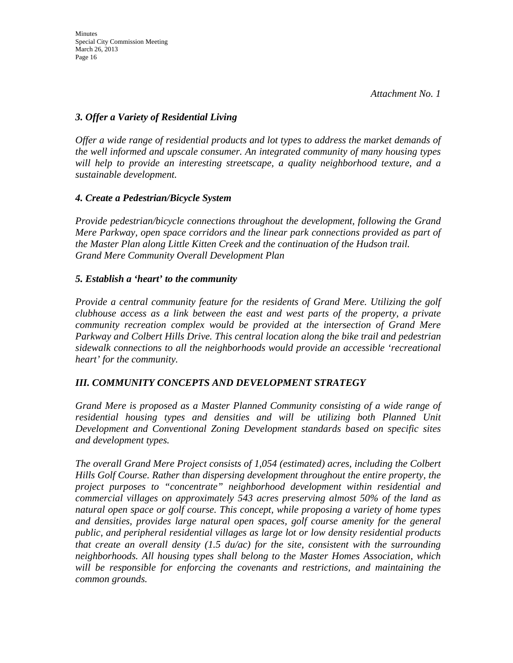# *3. Offer a Variety of Residential Living*

*Offer a wide range of residential products and lot types to address the market demands of the well informed and upscale consumer. An integrated community of many housing types will help to provide an interesting streetscape, a quality neighborhood texture, and a sustainable development.* 

## *4. Create a Pedestrian/Bicycle System*

*Provide pedestrian/bicycle connections throughout the development, following the Grand Mere Parkway, open space corridors and the linear park connections provided as part of the Master Plan along Little Kitten Creek and the continuation of the Hudson trail. Grand Mere Community Overall Development Plan* 

## *5. Establish a 'heart' to the community*

*Provide a central community feature for the residents of Grand Mere. Utilizing the golf clubhouse access as a link between the east and west parts of the property, a private community recreation complex would be provided at the intersection of Grand Mere Parkway and Colbert Hills Drive. This central location along the bike trail and pedestrian sidewalk connections to all the neighborhoods would provide an accessible 'recreational heart' for the community.* 

# *III. COMMUNITY CONCEPTS AND DEVELOPMENT STRATEGY*

*Grand Mere is proposed as a Master Planned Community consisting of a wide range of residential housing types and densities and will be utilizing both Planned Unit Development and Conventional Zoning Development standards based on specific sites and development types.* 

*The overall Grand Mere Project consists of 1,054 (estimated) acres, including the Colbert Hills Golf Course. Rather than dispersing development throughout the entire property, the project purposes to "concentrate" neighborhood development within residential and commercial villages on approximately 543 acres preserving almost 50% of the land as natural open space or golf course. This concept, while proposing a variety of home types and densities, provides large natural open spaces, golf course amenity for the general public, and peripheral residential villages as large lot or low density residential products that create an overall density (1.5 du/ac) for the site, consistent with the surrounding neighborhoods. All housing types shall belong to the Master Homes Association, which will be responsible for enforcing the covenants and restrictions, and maintaining the common grounds.*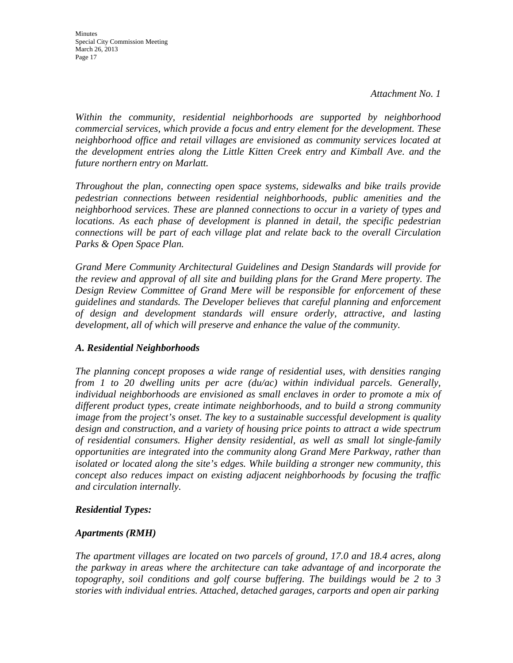*Within the community, residential neighborhoods are supported by neighborhood commercial services, which provide a focus and entry element for the development. These neighborhood office and retail villages are envisioned as community services located at the development entries along the Little Kitten Creek entry and Kimball Ave. and the future northern entry on Marlatt.* 

*Throughout the plan, connecting open space systems, sidewalks and bike trails provide pedestrian connections between residential neighborhoods, public amenities and the neighborhood services. These are planned connections to occur in a variety of types and locations. As each phase of development is planned in detail, the specific pedestrian connections will be part of each village plat and relate back to the overall Circulation Parks & Open Space Plan.* 

*Grand Mere Community Architectural Guidelines and Design Standards will provide for the review and approval of all site and building plans for the Grand Mere property. The Design Review Committee of Grand Mere will be responsible for enforcement of these guidelines and standards. The Developer believes that careful planning and enforcement of design and development standards will ensure orderly, attractive, and lasting development, all of which will preserve and enhance the value of the community.* 

## *A. Residential Neighborhoods*

*The planning concept proposes a wide range of residential uses, with densities ranging from 1 to 20 dwelling units per acre (du/ac) within individual parcels. Generally, individual neighborhoods are envisioned as small enclaves in order to promote a mix of different product types, create intimate neighborhoods, and to build a strong community image from the project's onset. The key to a sustainable successful development is quality design and construction, and a variety of housing price points to attract a wide spectrum of residential consumers. Higher density residential, as well as small lot single-family opportunities are integrated into the community along Grand Mere Parkway, rather than isolated or located along the site's edges. While building a stronger new community, this concept also reduces impact on existing adjacent neighborhoods by focusing the traffic and circulation internally.* 

#### *Residential Types:*

#### *Apartments (RMH)*

*The apartment villages are located on two parcels of ground, 17.0 and 18.4 acres, along the parkway in areas where the architecture can take advantage of and incorporate the topography, soil conditions and golf course buffering. The buildings would be 2 to 3 stories with individual entries. Attached, detached garages, carports and open air parking*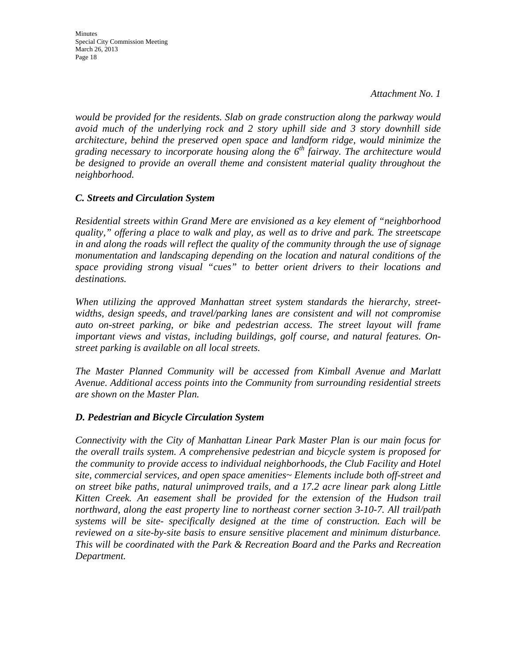*would be provided for the residents. Slab on grade construction along the parkway would avoid much of the underlying rock and 2 story uphill side and 3 story downhill side architecture, behind the preserved open space and landform ridge, would minimize the grading necessary to incorporate housing along the 6th fairway. The architecture would be designed to provide an overall theme and consistent material quality throughout the neighborhood.* 

#### *C. Streets and Circulation System*

*Residential streets within Grand Mere are envisioned as a key element of "neighborhood quality," offering a place to walk and play, as well as to drive and park. The streetscape in and along the roads will reflect the quality of the community through the use of signage monumentation and landscaping depending on the location and natural conditions of the space providing strong visual "cues" to better orient drivers to their locations and destinations.* 

*When utilizing the approved Manhattan street system standards the hierarchy, streetwidths, design speeds, and travel/parking lanes are consistent and will not compromise auto on-street parking, or bike and pedestrian access. The street layout will frame important views and vistas, including buildings, golf course, and natural features. Onstreet parking is available on all local streets.* 

*The Master Planned Community will be accessed from Kimball Avenue and Marlatt Avenue. Additional access points into the Community from surrounding residential streets are shown on the Master Plan.* 

#### *D. Pedestrian and Bicycle Circulation System*

*Connectivity with the City of Manhattan Linear Park Master Plan is our main focus for the overall trails system. A comprehensive pedestrian and bicycle system is proposed for the community to provide access to individual neighborhoods, the Club Facility and Hotel site, commercial services, and open space amenities~ Elements include both off-street and on street bike paths, natural unimproved trails, and a 17.2 acre linear park along Little Kitten Creek. An easement shall be provided for the extension of the Hudson trail northward, along the east property line to northeast corner section 3-10-7. All trail/path systems will be site- specifically designed at the time of construction. Each will be reviewed on a site-by-site basis to ensure sensitive placement and minimum disturbance. This will be coordinated with the Park & Recreation Board and the Parks and Recreation Department.*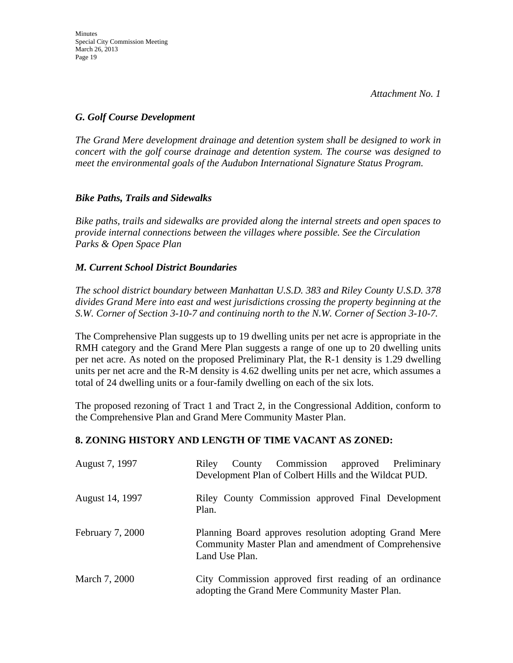# *G. Golf Course Development*

*The Grand Mere development drainage and detention system shall be designed to work in concert with the golf course drainage and detention system. The course was designed to meet the environmental goals of the Audubon International Signature Status Program.* 

# *Bike Paths, Trails and Sidewalks*

*Bike paths, trails and sidewalks are provided along the internal streets and open spaces to provide internal connections between the villages where possible. See the Circulation Parks & Open Space Plan* 

# *M. Current School District Boundaries*

*The school district boundary between Manhattan U.S.D. 383 and Riley County U.S.D. 378 divides Grand Mere into east and west jurisdictions crossing the property beginning at the S.W. Corner of Section 3-10-7 and continuing north to the N.W. Corner of Section 3-10-7.* 

The Comprehensive Plan suggests up to 19 dwelling units per net acre is appropriate in the RMH category and the Grand Mere Plan suggests a range of one up to 20 dwelling units per net acre. As noted on the proposed Preliminary Plat, the R-1 density is 1.29 dwelling units per net acre and the R-M density is 4.62 dwelling units per net acre, which assumes a total of 24 dwelling units or a four-family dwelling on each of the six lots.

The proposed rezoning of Tract 1 and Tract 2, in the Congressional Addition, conform to the Comprehensive Plan and Grand Mere Community Master Plan.

# **8. ZONING HISTORY AND LENGTH OF TIME VACANT AS ZONED:**

| August 7, 1997   | County Commission approved Preliminary<br>Riley<br>Development Plan of Colbert Hills and the Wildcat PUD.                        |
|------------------|----------------------------------------------------------------------------------------------------------------------------------|
| August 14, 1997  | Riley County Commission approved Final Development<br>Plan.                                                                      |
| February 7, 2000 | Planning Board approves resolution adopting Grand Mere<br>Community Master Plan and amendment of Comprehensive<br>Land Use Plan. |
| March 7, 2000    | City Commission approved first reading of an ordinance<br>adopting the Grand Mere Community Master Plan.                         |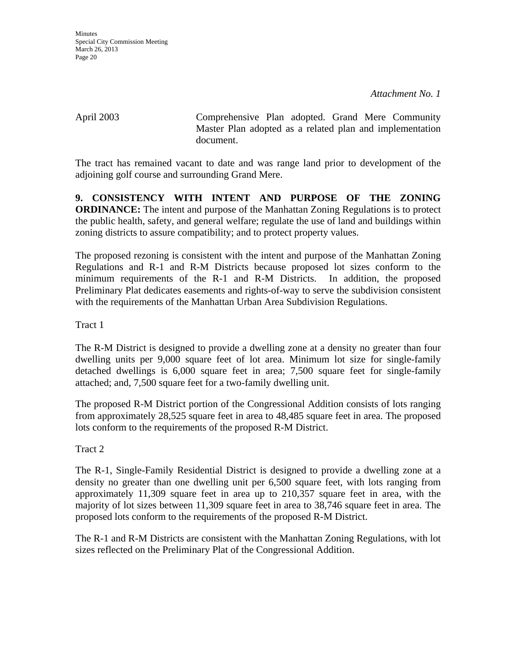April 2003 Comprehensive Plan adopted. Grand Mere Community Master Plan adopted as a related plan and implementation document.

The tract has remained vacant to date and was range land prior to development of the adjoining golf course and surrounding Grand Mere.

**9. CONSISTENCY WITH INTENT AND PURPOSE OF THE ZONING ORDINANCE:** The intent and purpose of the Manhattan Zoning Regulations is to protect the public health, safety, and general welfare; regulate the use of land and buildings within zoning districts to assure compatibility; and to protect property values.

The proposed rezoning is consistent with the intent and purpose of the Manhattan Zoning Regulations and R-1 and R-M Districts because proposed lot sizes conform to the minimum requirements of the R-1 and R-M Districts. In addition, the proposed Preliminary Plat dedicates easements and rights-of-way to serve the subdivision consistent with the requirements of the Manhattan Urban Area Subdivision Regulations.

Tract 1

The R-M District is designed to provide a dwelling zone at a density no greater than four dwelling units per 9,000 square feet of lot area. Minimum lot size for single-family detached dwellings is 6,000 square feet in area; 7,500 square feet for single-family attached; and, 7,500 square feet for a two-family dwelling unit.

The proposed R-M District portion of the Congressional Addition consists of lots ranging from approximately 28,525 square feet in area to 48,485 square feet in area. The proposed lots conform to the requirements of the proposed R-M District.

Tract 2

The R-1, Single-Family Residential District is designed to provide a dwelling zone at a density no greater than one dwelling unit per 6,500 square feet, with lots ranging from approximately 11,309 square feet in area up to 210,357 square feet in area, with the majority of lot sizes between 11,309 square feet in area to 38,746 square feet in area. The proposed lots conform to the requirements of the proposed R-M District.

The R-1 and R-M Districts are consistent with the Manhattan Zoning Regulations, with lot sizes reflected on the Preliminary Plat of the Congressional Addition.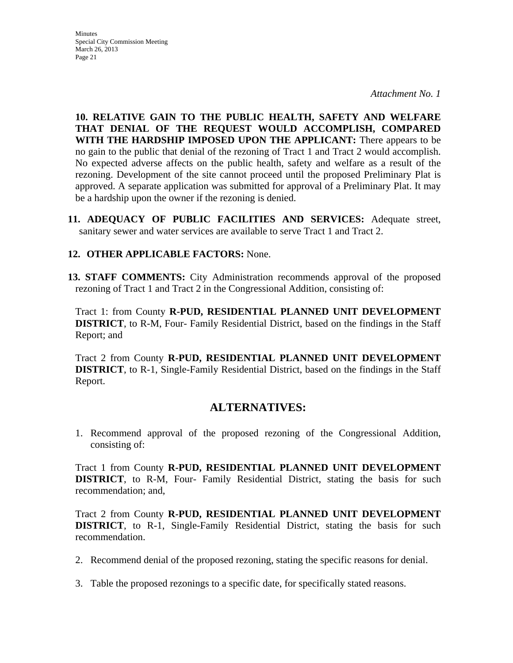**Minutes** Special City Commission Meeting March 26, 2013 Page 21

*Attachment No. 1*

**10. RELATIVE GAIN TO THE PUBLIC HEALTH, SAFETY AND WELFARE THAT DENIAL OF THE REQUEST WOULD ACCOMPLISH, COMPARED WITH THE HARDSHIP IMPOSED UPON THE APPLICANT:** There appears to be no gain to the public that denial of the rezoning of Tract 1 and Tract 2 would accomplish. No expected adverse affects on the public health, safety and welfare as a result of the rezoning. Development of the site cannot proceed until the proposed Preliminary Plat is approved. A separate application was submitted for approval of a Preliminary Plat. It may be a hardship upon the owner if the rezoning is denied.

**11. ADEQUACY OF PUBLIC FACILITIES AND SERVICES:** Adequate street, sanitary sewer and water services are available to serve Tract 1 and Tract 2.

#### **12. OTHER APPLICABLE FACTORS:** None.

**13. STAFF COMMENTS:** City Administration recommends approval of the proposed rezoning of Tract 1 and Tract 2 in the Congressional Addition, consisting of:

Tract 1: from County **R-PUD, RESIDENTIAL PLANNED UNIT DEVELOPMENT DISTRICT**, to R-M, Four- Family Residential District, based on the findings in the Staff Report; and

Tract 2 from County **R-PUD, RESIDENTIAL PLANNED UNIT DEVELOPMENT DISTRICT**, to R-1, Single-Family Residential District, based on the findings in the Staff Report.

# **ALTERNATIVES:**

1. Recommend approval of the proposed rezoning of the Congressional Addition, consisting of:

Tract 1 from County **R-PUD, RESIDENTIAL PLANNED UNIT DEVELOPMENT DISTRICT**, to R-M, Four- Family Residential District, stating the basis for such recommendation; and,

Tract 2 from County **R-PUD, RESIDENTIAL PLANNED UNIT DEVELOPMENT DISTRICT**, to R-1, Single-Family Residential District, stating the basis for such recommendation.

- 2. Recommend denial of the proposed rezoning, stating the specific reasons for denial.
- 3. Table the proposed rezonings to a specific date, for specifically stated reasons.